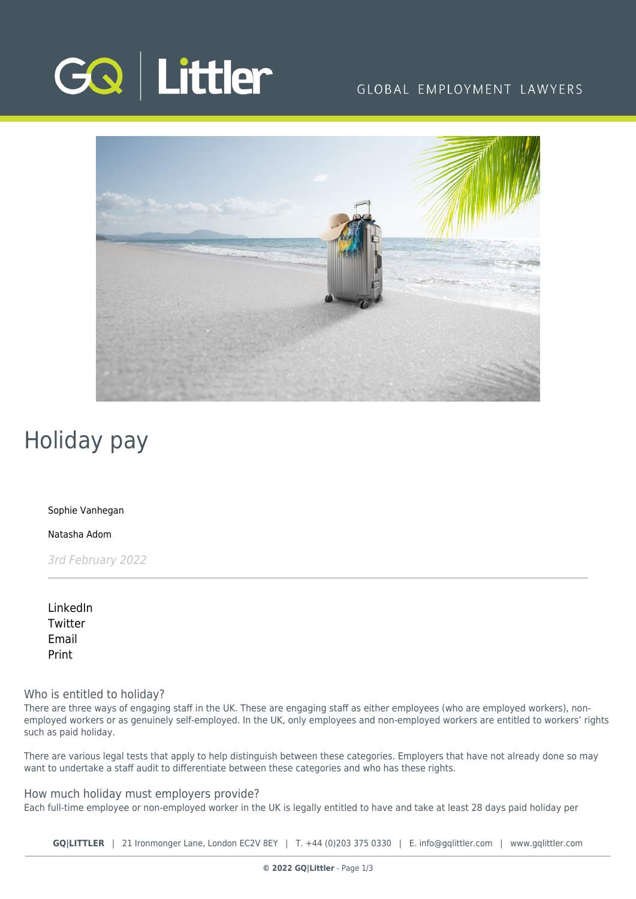

# GLOBAL EMPLOYMENT LAWYERS



# Holiday pay

[Sophie Vanhegan](https://www.gqlittler.com/about-us/the-team/sophie-vanhegan)

[Natasha Adom](https://www.gqlittler.com/about-us/the-team/natasha-adom)

3rd February 2022

[LinkedIn](https://www.linkedin.com/shareArticle?mini=true&url=https%3A%2F%2Fwww.gqlittler.com%2Fresources%2Fnews-and-views%2Fholiday-pay.htm%3Funlock%3Dtrue&title=Holiday+pay&summary=Handling+holiday+pay+issues+can+be+tricky.+Here+are+some+key+points+for+employers+to+be+aware+of.&source=GQ+%7C+Littler) **[Twitter](https://twitter.com/share?text=Holiday+pay&url=https%3A%2F%2Fwww.gqlittler.com%2Fresources%2Fnews-and-views%2Fholiday-pay.htm&hashtags=)** [Email](mailto:?subject=Holiday pay&body=I) [Print](https://www.bg-pdf.co.uk/_GQ/page.php?M=6148523063484d364c793933643363755a33467361585230624756794c6d4e76625339795a584e7664584a6a5a584d76626d563363793168626d5174646d6c6c64334d7661473973615752686553317759586b75614852744930416a53473973615752686553427759586b6a51434e6f623278705a4746354c58426865513d3d)

Who is entitled to holiday?

There are three ways of engaging staff in the UK. These are engaging staff as either employees (who are employed workers), nonemployed workers or as genuinely self-employed. In the UK, only employees and non-employed workers are entitled to workers' rights such as paid holiday.

There are various legal tests that apply to help distinguish between these categories. Employers that have not already done so may want to undertake a staff audit to differentiate between these categories and who has these rights.

How much holiday must employers provide? Each full-time employee or non-employed worker in the UK is legally entitled to have and take at least 28 days paid holiday per

**GQ|LITTLER** | 21 Ironmonger Lane, London EC2V 8EY | T. [+44 \(0\)203 375 0330](https://www.bg-pdf.co.uk/_GQ/tel:+442033750330) | E. [info@gqlittler.com](mailto:info@gqlittler.com) | [www.gqlittler.com](https://www.gqlittler.com)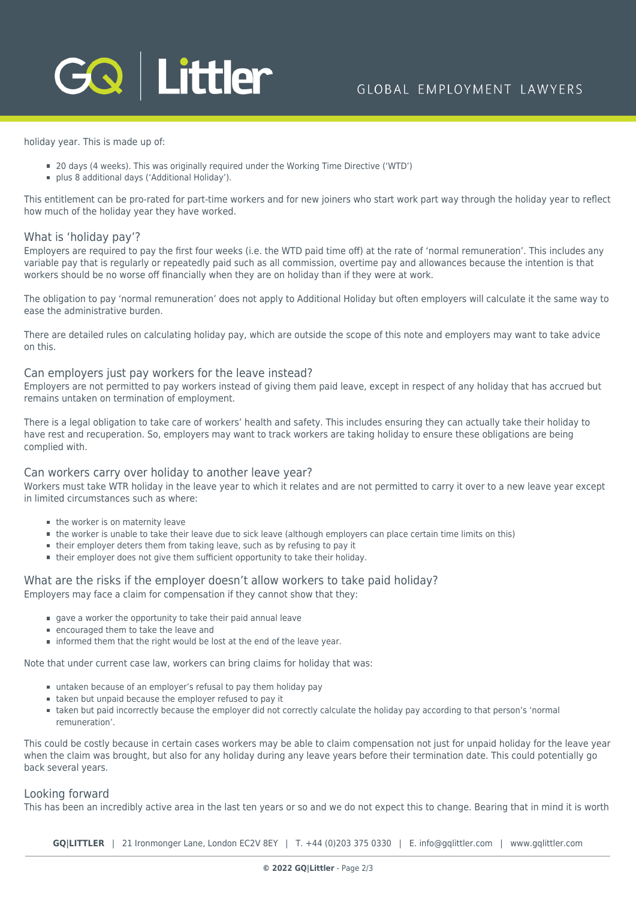holiday year. This is made up of:

- 20 days (4 weeks). This was originally required under the Working Time Directive ('WTD')
- plus 8 additional days ('Additional Holiday').

This entitlement can be pro-rated for part-time workers and for new joiners who start work part way through the holiday year to reflect how much of the holiday year they have worked.

## What is 'holiday pay'?

Employers are required to pay the first four weeks (i.e. the WTD paid time off) at the rate of 'normal remuneration'. This includes any variable pay that is regularly or repeatedly paid such as all commission, overtime pay and allowances because the intention is that workers should be no worse off financially when they are on holiday than if they were at work.

The obligation to pay 'normal remuneration' does not apply to Additional Holiday but often employers will calculate it the same way to ease the administrative burden.

There are detailed rules on calculating holiday pay, which are outside the scope of this note and employers may want to take advice on this.

#### Can employers just pay workers for the leave instead?

Employers are not permitted to pay workers instead of giving them paid leave, except in respect of any holiday that has accrued but remains untaken on termination of employment.

There is a legal obligation to take care of workers' health and safety. This includes ensuring they can actually take their holiday to have rest and recuperation. So, employers may want to track workers are taking holiday to ensure these obligations are being complied with.

## Can workers carry over holiday to another leave year?

Workers must take WTR holiday in the leave year to which it relates and are not permitted to carry it over to a new leave year except in limited circumstances such as where:

- the worker is on maternity leave
- the worker is unable to take their leave due to sick leave (although employers can place certain time limits on this)
- their employer deters them from taking leave, such as by refusing to pay it
- their employer does not give them sufficient opportunity to take their holiday.

#### What are the risks if the employer doesn't allow workers to take paid holiday? Employers may face a claim for compensation if they cannot show that they:

- gave a worker the opportunity to take their paid annual leave
- **E** encouraged them to take the leave and
- **informed them that the right would be lost at the end of the leave year.**

Note that under current case law, workers can bring claims for holiday that was:

- untaken because of an employer's refusal to pay them holiday pay
- taken but unpaid because the employer refused to pay it
- taken but paid incorrectly because the employer did not correctly calculate the holiday pay according to that person's 'normal remuneration'.

This could be costly because in certain cases workers may be able to claim compensation not just for unpaid holiday for the leave year when the claim was brought, but also for any holiday during any leave years before their termination date. This could potentially go back several years.

#### Looking forward

This has been an incredibly active area in the last ten years or so and we do not expect this to change. Bearing that in mind it is worth

**GQ|LITTLER** | 21 Ironmonger Lane, London EC2V 8EY | T. [+44 \(0\)203 375 0330](https://www.bg-pdf.co.uk/_GQ/tel:+442033750330) | E. [info@gqlittler.com](mailto:info@gqlittler.com) | [www.gqlittler.com](https://www.gqlittler.com)